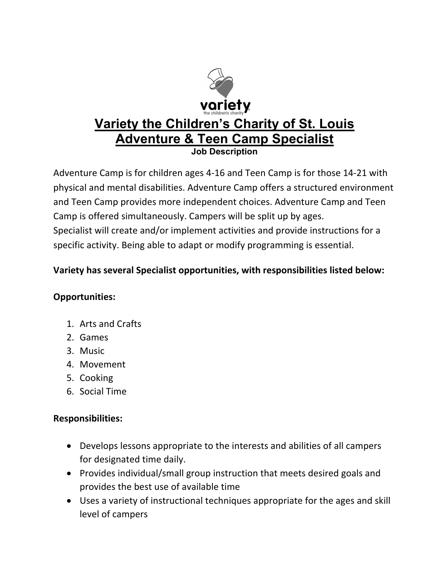

Adventure Camp is for children ages 4-16 and Teen Camp is for those 14-21 with physical and mental disabilities. Adventure Camp offers a structured environment and Teen Camp provides more independent choices. Adventure Camp and Teen Camp is offered simultaneously. Campers will be split up by ages. Specialist will create and/or implement activities and provide instructions for a specific activity. Being able to adapt or modify programming is essential.

## **Variety has several Specialist opportunities, with responsibilities listed below:**

## **Opportunities:**

- 1. Arts and Crafts
- 2. Games
- 3. Music
- 4. Movement
- 5. Cooking
- 6. Social Time

## **Responsibilities:**

- Develops lessons appropriate to the interests and abilities of all campers for designated time daily.
- Provides individual/small group instruction that meets desired goals and provides the best use of available time
- Uses a variety of instructional techniques appropriate for the ages and skill level of campers